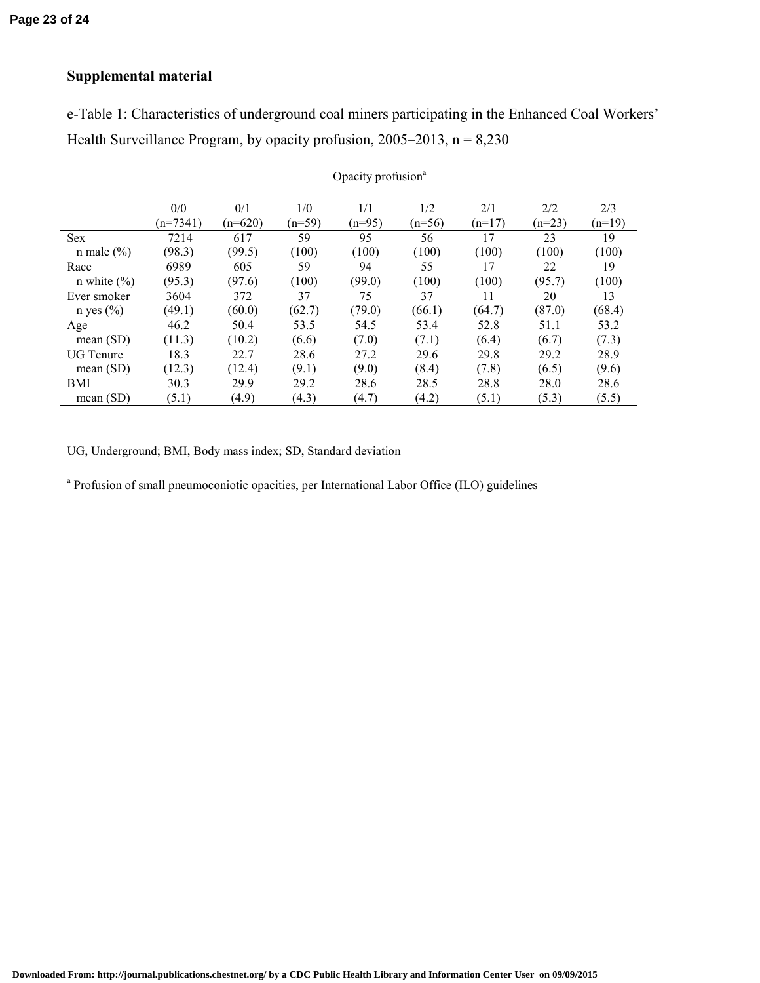## **Supplemental material**

e-Table 1: Characteristics of underground coal miners participating in the Enhanced Coal Workers' Health Surveillance Program, by opacity profusion,  $2005-2013$ , n = 8,230

Opacity profusion<sup>a</sup>

|                  | 0/0        | 0/1       | 1/0      | 1/1      | 1/2      | 2/1      | 2/2      | 2/3      |
|------------------|------------|-----------|----------|----------|----------|----------|----------|----------|
|                  | $(n=7341)$ | $(n=620)$ | $(n=59)$ | $(n=95)$ | $(n=56)$ | $(n=17)$ | $(n=23)$ | $(n=19)$ |
| <b>Sex</b>       | 7214       | 617       | 59       | 95       | 56       | 17       | 23       | 19       |
| n male $(\% )$   | (98.3)     | (99.5)    | (100)    | (100)    | (100)    | (100)    | (100)    | (100)    |
| Race             | 6989       | 605       | 59       | 94       | 55       | 17       | 22       | 19       |
| n white $(\% )$  | (95.3)     | (97.6)    | (100)    | (99.0)   | (100)    | (100)    | (95.7)   | (100)    |
| Ever smoker      | 3604       | 372       | 37       | 75       | 37       | 11       | 20       | 13       |
| n yes $(\% )$    | (49.1)     | (60.0)    | (62.7)   | (79.0)   | (66.1)   | (64.7)   | (87.0)   | (68.4)   |
| Age              | 46.2       | 50.4      | 53.5     | 54.5     | 53.4     | 52.8     | 51.1     | 53.2     |
| mean $(SD)$      | (11.3)     | (10.2)    | (6.6)    | (7.0)    | (7.1)    | (6.4)    | (6.7)    | (7.3)    |
| <b>UG</b> Tenure | 18.3       | 22.7      | 28.6     | 27.2     | 29.6     | 29.8     | 29.2     | 28.9     |
| mean $(SD)$      | (12.3)     | (12.4)    | (9.1)    | (9.0)    | (8.4)    | (7.8)    | (6.5)    | (9.6)    |
| <b>BMI</b>       | 30.3       | 29.9      | 29.2     | 28.6     | 28.5     | 28.8     | 28.0     | 28.6     |
| mean $(SD)$      | (5.1)      | (4.9)     | (4.3)    | (4.7)    | (4.2)    | (5.1)    | (5.3)    | (5.5)    |

UG, Underground; BMI, Body mass index; SD, Standard deviation

<sup>a</sup> Profusion of small pneumoconiotic opacities, per International Labor Office (ILO) guidelines